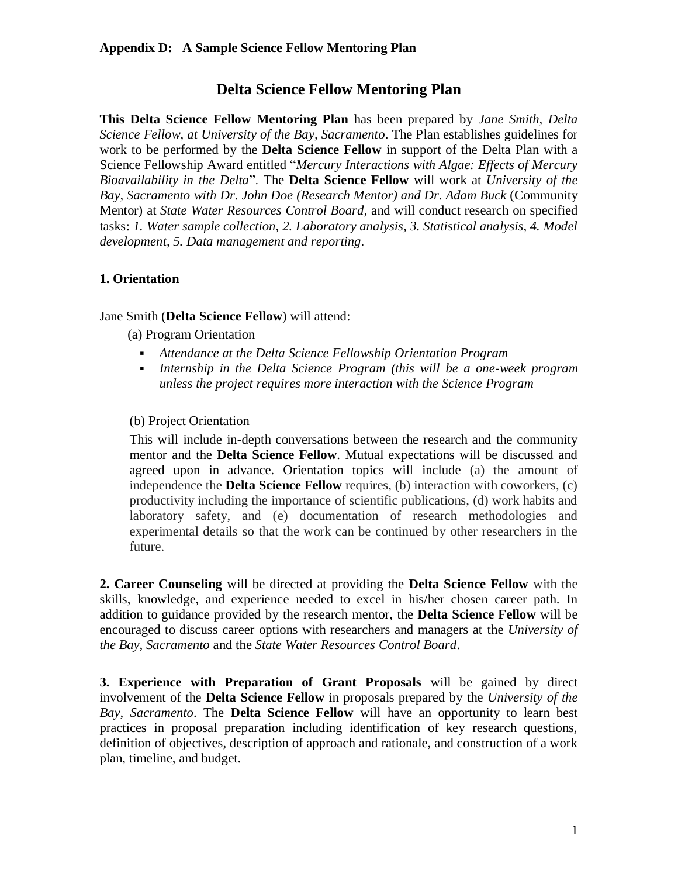## **Appendix D: A Sample Science Fellow Mentoring Plan**

# **Delta Science Fellow Mentoring Plan**

**This Delta Science Fellow Mentoring Plan** has been prepared by *Jane Smith, Delta Science Fellow, at University of the Bay, Sacramento*. The Plan establishes guidelines for work to be performed by the **Delta Science Fellow** in support of the Delta Plan with a Science Fellowship Award entitled "*Mercury Interactions with Algae: Effects of Mercury Bioavailability in the Delta*". The **Delta Science Fellow** will work at *University of the Bay, Sacramento with Dr. John Doe (Research Mentor) and Dr. Adam Buck* (Community Mentor) at *State Water Resources Control Board,* and will conduct research on specified tasks: *1. Water sample collection, 2. Laboratory analysis, 3. Statistical analysis, 4. Model development, 5. Data management and reporting*.

## **1. Orientation**

#### Jane Smith (**Delta Science Fellow**) will attend:

(a) Program Orientation

- *Attendance at the Delta Science Fellowship Orientation Program*
- *Internship in the Delta Science Program (this will be a one-week program unless the project requires more interaction with the Science Program*

#### (b) Project Orientation

This will include in-depth conversations between the research and the community mentor and the **Delta Science Fellow**. Mutual expectations will be discussed and agreed upon in advance. Orientation topics will include (a) the amount of independence the **Delta Science Fellow** requires, (b) interaction with coworkers, (c) productivity including the importance of scientific publications, (d) work habits and laboratory safety, and (e) documentation of research methodologies and experimental details so that the work can be continued by other researchers in the future.

**2. Career Counseling** will be directed at providing the **Delta Science Fellow** with the skills, knowledge, and experience needed to excel in his/her chosen career path. In addition to guidance provided by the research mentor, the **Delta Science Fellow** will be encouraged to discuss career options with researchers and managers at the *University of the Bay, Sacramento* and the *State Water Resources Control Board*.

**3. Experience with Preparation of Grant Proposals** will be gained by direct involvement of the **Delta Science Fellow** in proposals prepared by the *University of the Bay, Sacramento*. The **Delta Science Fellow** will have an opportunity to learn best practices in proposal preparation including identification of key research questions, definition of objectives, description of approach and rationale, and construction of a work plan, timeline, and budget.